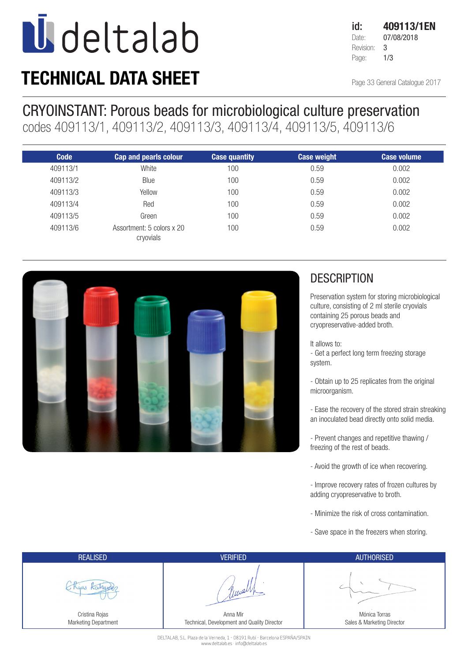## **U** deltalab

### TECHNICAL DATA SHEET

Page 33 General Catalogue 2017

#### CRYOINSTANT: Porous beads for microbiological culture preservation

codes 409113/1, 409113/2, 409113/3, 409113/4, 409113/5, 409113/6

| <b>Code</b> | <b>Cap and pearls colour</b>           | <b>Case quantity</b> | <b>Case weight</b> | <b>Case volume</b> |
|-------------|----------------------------------------|----------------------|--------------------|--------------------|
| 409113/1    | White                                  | 100                  | 0.59               | 0.002              |
| 409113/2    | Blue                                   | 100                  | 0.59               | 0.002              |
| 409113/3    | Yellow                                 | 100                  | 0.59               | 0.002              |
| 409113/4    | Red                                    | 100                  | 0.59               | 0.002              |
| 409113/5    | Green                                  | 100                  | 0.59               | 0.002              |
| 409113/6    | Assortment: 5 colors x 20<br>cryovials | 100                  | 0.59               | 0.002              |



#### **DESCRIPTION**

Preservation system for storing microbiological culture, consisting of 2 ml sterile cryovials containing 25 porous beads and cryopreservative-added broth.

It allows to:

- Get a perfect long term freezing storage system.

- Obtain up to 25 replicates from the original microorganism.

- Ease the recovery of the stored strain streaking an inoculated bead directly onto solid media.

- Prevent changes and repetitive thawing / freezing of the rest of beads.

- Avoid the growth of ice when recovering.

- Improve recovery rates of frozen cultures by adding cryopreservative to broth.

- Minimize the risk of cross contamination.

- Save space in the freezers when storing.

| <b>REALISED</b>                        | <b>VERIFIED</b>                                         | <b>AUTHORISED</b>                           |
|----------------------------------------|---------------------------------------------------------|---------------------------------------------|
|                                        |                                                         |                                             |
| Cristina Rojas<br>Marketing Department | Anna Mir<br>Technical, Development and Quality Director | Mónica Torras<br>Sales & Marketing Director |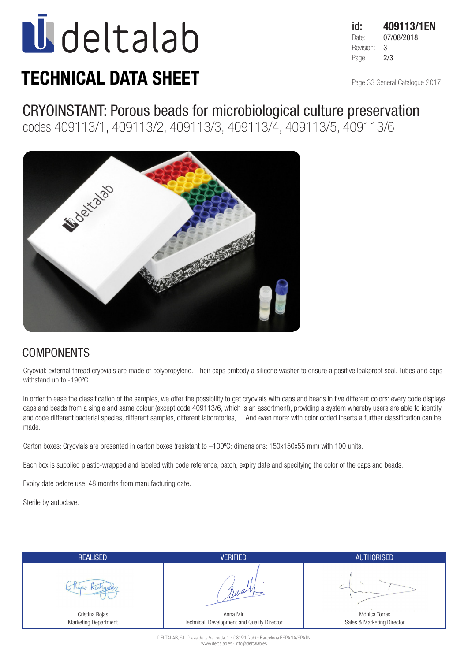# **U**deltalab

### TECHNICAL DATA SHEET

id: 409113/1EN Date: 07/08/2018 Revision: 3 Page: **2/3** 

Page 33 General Catalogue 2017

#### CRYOINSTANT: Porous beads for microbiological culture preservation

codes 409113/1, 409113/2, 409113/3, 409113/4, 409113/5, 409113/6



#### **COMPONENTS**

Cryovial: external thread cryovials are made of polypropylene. Their caps embody a silicone washer to ensure a positive leakproof seal. Tubes and caps withstand up to -190ºC.

In order to ease the classification of the samples, we offer the possibility to get cryovials with caps and beads in five different colors: every code displays caps and beads from a single and same colour (except code 409113/6, which is an assortment), providing a system whereby users are able to identify and code different bacterial species, different samples, different laboratories,… And even more: with color coded inserts a further classification can be made.

Carton boxes: Cryovials are presented in carton boxes (resistant to –100ºC; dimensions: 150x150x55 mm) with 100 units.

Each box is supplied plastic-wrapped and labeled with code reference, batch, expiry date and specifying the color of the caps and beads.

Expiry date before use: 48 months from manufacturing date.

Sterile by autoclave.

| <b>REALISED</b>                        | <b>VERIFIED</b>                                         | <b>AUTHORISED</b>                           |
|----------------------------------------|---------------------------------------------------------|---------------------------------------------|
| $\alpha$ a                             |                                                         |                                             |
| Cristina Rojas<br>Marketing Department | Anna Mir<br>Technical, Development and Quality Director | Mónica Torras<br>Sales & Marketing Director |